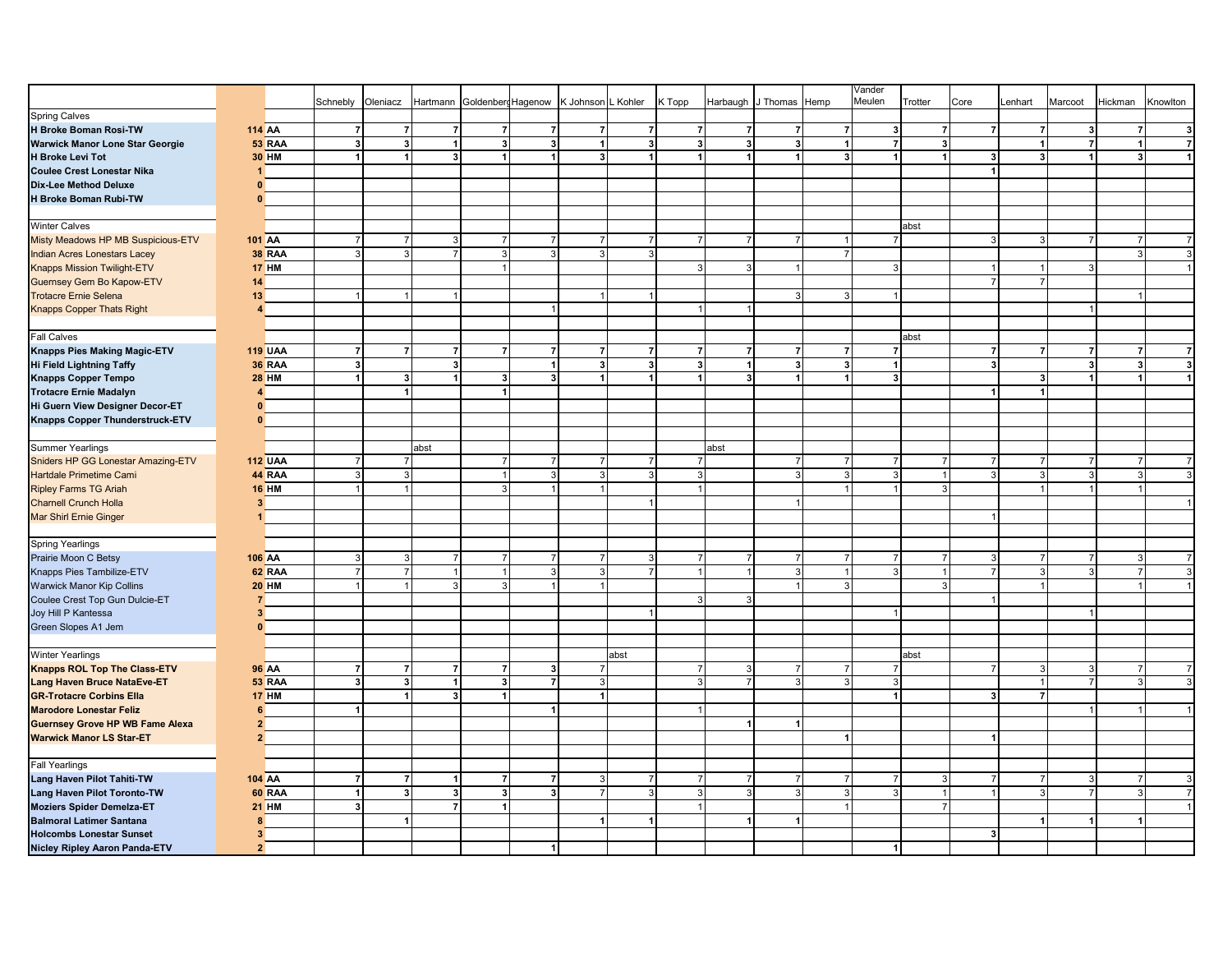|                                        |                |                |                |                |                         |                             |                         |                    |                |                         |                |                         |                | Vander         |                |                         |                |                         |                         |          |
|----------------------------------------|----------------|----------------|----------------|----------------|-------------------------|-----------------------------|-------------------------|--------------------|----------------|-------------------------|----------------|-------------------------|----------------|----------------|----------------|-------------------------|----------------|-------------------------|-------------------------|----------|
|                                        |                |                | Schnebly       | Oleniacz       |                         | Hartmann Goldenberg Hagenow |                         | K Johnson L Kohler |                | K Topp                  |                | Harbaugh J Thomas Hemp  |                | Meulen         | Trotter        | Core                    | Lenhart        | Marcoot                 | Hickman                 | Knowlton |
| <b>Spring Calves</b>                   |                |                |                |                |                         |                             |                         |                    |                |                         |                |                         |                |                |                |                         |                |                         |                         |          |
| H Broke Boman Rosi-TW                  |                | <b>114 AA</b>  | $\mathbf{z}$   | $\overline{7}$ | $\overline{7}$          | $\overline{7}$              | $\overline{7}$          | $\overline{7}$     | $\mathbf{z}$   | $\overline{7}$          | $\overline{7}$ | $\overline{7}$          | $\overline{7}$ | 3              | $\overline{7}$ | $\overline{7}$          | $\overline{7}$ | $\mathbf{3}$            | $\overline{7}$          |          |
|                                        |                | 53 RAA         |                | $\mathbf{3}$   |                         | 3                           | $\mathbf{3}$            |                    |                | $\overline{\mathbf{3}}$ |                | $\overline{\mathbf{3}}$ | $\overline{1}$ | $\overline{7}$ | $\mathbf{3}$   |                         | $\overline{1}$ | $\overline{7}$          | 1                       |          |
| Warwick Manor Lone Star Georgie        |                |                | 3 <sup>1</sup> |                | $\vert$                 |                             |                         |                    | 3              |                         | $\mathbf{3}$   |                         |                |                |                |                         |                |                         |                         |          |
| <b>H Broke Levi Tot</b>                |                | <b>30 HM</b>   | $\vert$        | $\overline{1}$ | $\mathbf{3}$            | $\blacktriangleleft$        | 1                       | 3                  | 1              | $\blacktriangleleft$    | $\vert$        | $\overline{\mathbf{1}}$ | $\mathbf{3}$   |                | $\overline{1}$ | 3                       | $\mathbf{3}$   | 1                       | $\mathbf{3}$            |          |
| <b>Coulee Crest Lonestar Nika</b>      |                |                |                |                |                         |                             |                         |                    |                |                         |                |                         |                |                |                | $\overline{\mathbf{1}}$ |                |                         |                         |          |
| Dix-Lee Method Deluxe                  | $\Omega$       |                |                |                |                         |                             |                         |                    |                |                         |                |                         |                |                |                |                         |                |                         |                         |          |
| H Broke Boman Rubi-TW                  | $\Omega$       |                |                |                |                         |                             |                         |                    |                |                         |                |                         |                |                |                |                         |                |                         |                         |          |
|                                        |                |                |                |                |                         |                             |                         |                    |                |                         |                |                         |                |                |                |                         |                |                         |                         |          |
| <b>Winter Calves</b>                   |                |                |                |                |                         |                             |                         |                    |                |                         |                |                         |                |                | abst           |                         |                |                         |                         |          |
| Misty Meadows HP MB Suspicious-ETV     |                | <b>101 AA</b>  | $\overline{7}$ | $\overline{7}$ | 3                       | $\overline{7}$              | $\overline{7}$          | $\overline{7}$     | $\overline{7}$ | 7 <sup>1</sup>          | 7 <sup>1</sup> | $\overline{7}$          | $\vert$ 1      | 7              |                | $\mathbf{B}$            | $\overline{3}$ | $\overline{7}$          | $\overline{7}$          |          |
| <b>Indian Acres Lonestars Lacey</b>    |                | <b>38 RAA</b>  | 3 <sup>1</sup> | $\mathbf{3}$   | $\overline{7}$          | $\overline{3}$              | $\overline{3}$          | $\mathbf{3}$       | $\mathbf{3}$   |                         |                |                         | $\overline{7}$ |                |                |                         |                |                         | 3                       |          |
| <b>Knapps Mission Twilight-ETV</b>     |                | <b>17 HM</b>   |                |                |                         |                             |                         |                    |                | 3                       | 3              |                         |                | 3              |                |                         | -1             | 3                       |                         |          |
| Guernsey Gem Bo Kapow-ETV              | 14             |                |                |                |                         |                             |                         |                    |                |                         |                |                         |                |                |                | $\overline{7}$          | 7 <sup>1</sup> |                         |                         |          |
| <b>Trotacre Ernie Selena</b>           | 13             |                | $\overline{1}$ | $\overline{1}$ | $\overline{1}$          |                             |                         |                    | $\overline{1}$ |                         |                | 3                       | 3 <sup>1</sup> |                |                |                         |                |                         |                         |          |
|                                        |                |                |                |                |                         |                             |                         |                    |                |                         |                |                         |                |                |                |                         |                |                         |                         |          |
| <b>Knapps Copper Thats Right</b>       |                |                |                |                |                         |                             |                         |                    |                |                         | -1             |                         |                |                |                |                         |                |                         |                         |          |
|                                        |                |                |                |                |                         |                             |                         |                    |                |                         |                |                         |                |                |                |                         |                |                         |                         |          |
| Fall Calves                            |                |                |                |                |                         |                             |                         |                    |                |                         |                |                         |                |                | abst           |                         |                |                         |                         |          |
| <b>Knapps Pies Making Magic-ETV</b>    |                | <b>119 UAA</b> | $\overline{7}$ | $\overline{7}$ | $\overline{7}$          | $\overline{7}$              | $\overline{7}$          | -7                 | $\overline{7}$ | $\overline{7}$          | $\overline{7}$ | $\overline{7}$          | $\overline{7}$ | $\overline{7}$ |                | $\overline{7}$          | $\overline{7}$ | $\overline{7}$          | $\overline{7}$          |          |
| <b>Hi Field Lightning Taffy</b>        |                | <b>36 RAA</b>  | 3              |                | $\overline{\mathbf{3}}$ |                             | 1                       | 3                  | 3              | 3                       | $\vert$        | 3                       | $\mathbf{3}$   |                |                | $\overline{\mathbf{3}}$ |                | $\overline{\mathbf{3}}$ | $\overline{\mathbf{3}}$ |          |
| <b>Knapps Copper Tempo</b>             |                | <b>28 HM</b>   | $\vert$        | $\mathbf{3}$   | $\vert$                 | 3                           | 3                       |                    | 1              | 1                       | $\mathbf{3}$   | 1                       | $\vert$        | 3              |                |                         | 3              | 1                       | 1                       |          |
| <b>Trotacre Ernie Madalyn</b>          | 4              |                |                | $\overline{1}$ |                         | 1                           |                         |                    |                |                         |                |                         |                |                |                |                         | $\overline{1}$ |                         |                         |          |
| Hi Guern View Designer Decor-ET        | $\mathbf{0}$   |                |                |                |                         |                             |                         |                    |                |                         |                |                         |                |                |                |                         |                |                         |                         |          |
| Knapps Copper Thunderstruck-ETV        | $\Omega$       |                |                |                |                         |                             |                         |                    |                |                         |                |                         |                |                |                |                         |                |                         |                         |          |
|                                        |                |                |                |                |                         |                             |                         |                    |                |                         |                |                         |                |                |                |                         |                |                         |                         |          |
| <b>Summer Yearlings</b>                |                |                |                |                | abst                    |                             |                         |                    |                |                         | abst           |                         |                |                |                |                         |                |                         |                         |          |
| Sniders HP GG Lonestar Amazing-ETV     |                | <b>112 UAA</b> | $\overline{7}$ | $\overline{7}$ |                         | $\overline{7}$              | $\overline{7}$          | $\overline{7}$     | 7 <sup>1</sup> | $\overline{7}$          |                | $\overline{7}$          | $\overline{7}$ | $\overline{7}$ | $\overline{7}$ | $\overline{7}$          | $\overline{7}$ | $\overline{7}$          | $\overline{7}$          |          |
| <b>Hartdale Primetime Cami</b>         |                | 44 RAA         | 3 <sup>1</sup> | 3              |                         | $\mathbf{1}$                | $\lvert 3 \rvert$       | 3                  | 3              | 3                       |                | $\overline{3}$          | $\overline{3}$ | 3              | $\overline{1}$ | 3                       | 3              | 3                       | 3                       |          |
| <b>Ripley Farms TG Ariah</b>           |                | <b>16 HM</b>   | $\overline{1}$ | $\overline{1}$ |                         | 3                           |                         |                    |                |                         |                |                         |                |                | $\mathbf{3}$   |                         |                |                         |                         |          |
| <b>Charnell Crunch Holla</b>           | 3              |                |                |                |                         |                             |                         |                    | $\overline{1}$ |                         |                |                         |                |                |                |                         |                |                         |                         |          |
| <b>Mar Shirl Ernie Ginger</b>          |                |                |                |                |                         |                             |                         |                    |                |                         |                |                         |                |                |                |                         |                |                         |                         |          |
|                                        |                |                |                |                |                         |                             |                         |                    |                |                         |                |                         |                |                |                |                         |                |                         |                         |          |
| <b>Spring Yearlings</b>                |                |                |                |                |                         |                             |                         |                    |                |                         |                |                         |                |                |                |                         |                |                         |                         |          |
|                                        |                |                |                |                |                         |                             |                         |                    |                |                         |                |                         |                |                |                |                         |                |                         |                         |          |
| Prairie Moon C Betsy                   |                | <b>106 AA</b>  | 3              | 3              | $\overline{7}$          | $\overline{7}$              | $\overline{7}$          | $\overline{7}$     | 3              | $\overline{7}$          | $\overline{7}$ | $\overline{7}$          | $7 \mid$       |                | $\overline{7}$ | 3                       | $\overline{7}$ | $\overline{7}$          | 3                       |          |
| Knapps Pies Tambilize-ETV              |                | 62 RAA         | $\overline{7}$ | $\overline{7}$ | $\mathbf{1}$            | $\overline{1}$              | $\lvert 3 \rvert$       | 3                  | $\overline{7}$ |                         | $\mathbf{1}$   | 3                       | $\overline{1}$ |                | $\overline{1}$ | $\overline{7}$          | 3              | ∍                       | $\overline{7}$          |          |
| <b>Warwick Manor Kip Collins</b>       |                | <b>20 HM</b>   | $\overline{1}$ |                | $\mathcal{R}$           | $\overline{3}$              |                         |                    |                |                         |                |                         | 3              |                | $\mathbf{3}$   |                         |                |                         |                         |          |
| Coulee Crest Top Gun Dulcie-ET         | $\overline{7}$ |                |                |                |                         |                             |                         |                    |                | 3                       | $\overline{3}$ |                         |                |                |                |                         |                |                         |                         |          |
| Joy Hill P Kantessa                    | 3 <sup>1</sup> |                |                |                |                         |                             |                         |                    | $\overline{1}$ |                         |                |                         |                |                |                |                         |                |                         |                         |          |
| Green Slopes A1 Jem                    | $\mathbf{0}$   |                |                |                |                         |                             |                         |                    |                |                         |                |                         |                |                |                |                         |                |                         |                         |          |
|                                        |                |                |                |                |                         |                             |                         |                    |                |                         |                |                         |                |                |                |                         |                |                         |                         |          |
| <b>Winter Yearlings</b>                |                |                |                |                |                         |                             |                         |                    | abst           |                         |                |                         |                |                | abst           |                         |                |                         |                         |          |
| Knapps ROL Top The Class-ETV           |                | <b>96 AA</b>   | $\overline{7}$ | $\overline{7}$ | $\overline{7}$          | $\overline{7}$              | $\mathbf{3}$            |                    |                | $\overline{7}$          | $\mathbf{3}$   | $\overline{7}$          | $\overline{7}$ |                |                | $\overline{7}$          | 3              | 3                       | $\overline{7}$          |          |
| Lang Haven Bruce NataEve-ET            |                | 53 RAA         | 3              | $\mathbf{3}$   | $\mathbf{1}$            | 3                           | $\overline{7}$          | 3                  |                | $\overline{3}$          | $\overline{7}$ | 3                       | $\vert$ 3      | 3              |                |                         | $\mathbf{1}$   | $\overline{7}$          | $\mathbf{3}$            |          |
| <b>GR-Trotacre Corbins Ella</b>        |                | <b>17 HM</b>   |                | $\overline{1}$ | 3 <sup>1</sup>          | $\overline{1}$              |                         | $\overline{1}$     |                |                         |                |                         |                |                |                | $\overline{\mathbf{3}}$ | $\overline{7}$ |                         |                         |          |
| <b>Marodore Lonestar Feliz</b>         | 6              |                | 1              |                |                         |                             |                         |                    |                |                         |                |                         |                |                |                |                         |                |                         |                         |          |
| <b>Guernsey Grove HP WB Fame Alexa</b> | $\overline{2}$ |                |                |                |                         |                             |                         |                    |                |                         | $\mathbf{1}$   | $\overline{1}$          |                |                |                |                         |                |                         |                         |          |
| <b>Warwick Manor LS Star-ET</b>        | $\mathbf{2}$   |                |                |                |                         |                             |                         |                    |                |                         |                |                         | $\vert$        |                |                | -1                      |                |                         |                         |          |
|                                        |                |                |                |                |                         |                             |                         |                    |                |                         |                |                         |                |                |                |                         |                |                         |                         |          |
| <b>Fall Yearlings</b>                  |                |                |                |                |                         |                             |                         |                    |                |                         |                |                         |                |                |                |                         |                |                         |                         |          |
| Lang Haven Pilot Tahiti-TW             |                | <b>104 AA</b>  | 7              | $\overline{7}$ | $\vert$                 | $\overline{7}$              | $\overline{7}$          | 3                  | $\overline{7}$ | $\overline{7}$          | $\overline{7}$ | $\overline{7}$          | $7 \mid$       |                | 3              | 7                       | $\overline{7}$ | 3                       | $\overline{7}$          |          |
|                                        |                | 60 RAA         | $\vert$        | $\mathbf{3}$   | $\overline{\mathbf{3}}$ | $\overline{\mathbf{3}}$     | $\overline{\mathbf{3}}$ | $\overline{7}$     | 3              | 3                       | $\mathbf{3}$   | 3                       | $\lceil$       |                | $\overline{1}$ |                         | 3              | $\overline{7}$          | $\mathbf{3}$            |          |
| Lang Haven Pilot Toronto-TW            |                |                |                |                | $\overline{7}$          | $\blacktriangleleft$        |                         |                    |                |                         |                |                         |                |                |                |                         |                |                         |                         |          |
| <b>Moziers Spider Demelza-ET</b>       |                | <b>21 HM</b>   | 3              |                |                         |                             |                         |                    |                |                         |                |                         |                |                | $\overline{7}$ |                         |                |                         |                         |          |
| <b>Balmoral Latimer Santana</b>        | 8              |                |                | $\overline{1}$ |                         |                             |                         | -1                 | $\vert$        |                         | $\vert$        | $\overline{1}$          |                |                |                |                         | $\mathbf{1}$   | $\mathbf{1}$            | $\vert$                 |          |
| <b>Holcombs Lonestar Sunset</b>        | $\mathbf{3}$   |                |                |                |                         |                             |                         |                    |                |                         |                |                         |                |                |                | 3                       |                |                         |                         |          |
| <b>Nicley Ripley Aaron Panda-ETV</b>   | $\overline{2}$ |                |                |                |                         |                             | 1                       |                    |                |                         |                |                         |                |                |                |                         |                |                         |                         |          |